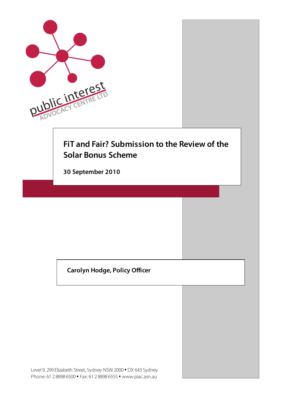

## **Carolyn Hodge, Policy Officer**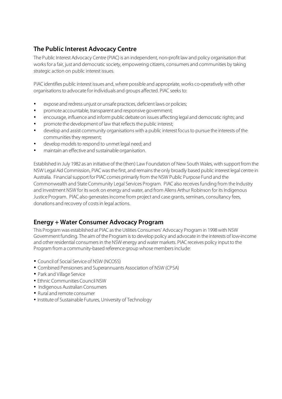## **The Public Interest Advocacy Centre**

The Public Interest Advocacy Centre (PIAC) is an independent, non-profit law and policy organisation that works for a fair, just and democratic society, empowering citizens, consumers and communities by taking strategic action on public interest issues.

PIAC identifies public interest issues and, where possible and appropriate, works co-operatively with other organisations to advocate for individuals and groups affected. PIAC seeks to:

- expose and redress unjust or unsafe practices, deficient laws or policies;
- promote accountable, transparent and responsive government;
- encourage, influence and inform public debate on issues affecting legal and democratic rights; and
- promote the development of law that reflects the public interest;
- develop and assist community organisations with a public interest focus to pursue the interests of the communities they represent;
- develop models to respond to unmet legal need; and
- maintain an effective and sustainable organisation.

Established in July 1982 as an initiative of the (then) Law Foundation of New South Wales, with support from the NSW Legal Aid Commission, PIAC was the first, and remains the only broadly based public interest legal centre in Australia. Financial support for PIAC comes primarily from the NSW Public Purpose Fund and the Commonwealth and State Community Legal Services Program. PIAC also receives funding from the Industry and Investment NSW for its work on energy and water, and from Allens Arthur Robinson for its Indigenous Justice Program. PIAC also generates income from project and case grants, seminars, consultancy fees, donations and recovery of costs in legal actions.

### **Energy + Water Consumer Advocacy Program**

This Program was established at PIAC as the Utilities Consumers' Advocacy Program in 1998 with NSW Government funding. The aim of the Program is to develop policy and advocate in the interests of low-income and other residential consumers in the NSW energy and water markets. PIAC receives policy input to the Program from a community-based reference group whose members include:

- Council of Social Service of NSW (NCOSS)
- Combined Pensioners and Superannuants Association of NSW (CPSA)
- Park and Village Service
- Ethnic Communities Council NSW
- Indigenous Australian Consumers
- Rural and remote consumer
- Institute of Sustainable Futures, University of Technology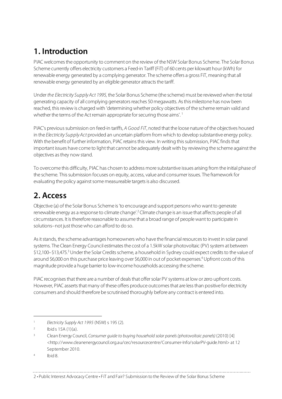# **1. Introduction**

PIAC welcomes the opportunity to comment on the review of the NSW Solar Bonus Scheme. The Solar Bonus Scheme currently offers electricity customers a Feed-in Tariff (FiT) of 60 cents per kilowatt hour (kWh) for renewable energy generated by a complying generator. The scheme offers a gross FiT, meaning that all renewable energy generated by an eligible generator attracts the tariff.

Under the Electricity Supply Act 1995, the Solar Bonus Scheme (the scheme) must be reviewed when the total generating capacity of all complying generators reaches 50 megawatts. As this milestone has now been reached, this review is charged with 'determining whether policy objectives of the scheme remain valid and whether the terms of the Act remain appropriate for securing those aims'.<sup>1</sup>

PIAC's previous submission on feed-in tariffs, A Good FiT, noted that the loose nature of the objectives housed in the Electricity Supply Act provided an uncertain platform from which to develop substantive energy policy. With the benefit of further information, PIAC retains this view. In writing this submission, PIAC finds that important issues have come to light that cannot be adequately dealt with by reviewing the scheme against the objectives as they now stand.

To overcome this difficulty, PIAC has chosen to address more substantive issues arising from the initial phase of the scheme. This submission focuses on equity, access, value and consumer issues. The framework for evaluating the policy against some measureable targets is also discussed.

# **2. Access**

Objective (a) of the Solar Bonus Scheme is 'to encourage and support persons who want to generate renewable energy as a response to climate change'.<sup>2</sup> Climate change is an issue that affects people of all circumstances. It is therefore reasonable to assume that a broad range of people want to participate in solutions–not just those who can afford to do so.

As it stands, the scheme advantages homeowners who have the financial resources to invest in solar panel systems. The Clean Energy Council estimates the cost of a 1.5kW solar photovoltaic (PV) system at between \$12,100–\$13,475.<sup>3</sup> Under the Solar Credits scheme, a household in Sydney could expect credits to the value of around \$6,000 on this purchase price leaving over \$6,000 in out of pocket expenses.<sup>4</sup> Upfront costs of this magnitude provide a huge barrier to low-income households accessing the scheme.

PIAC recognises that there are a number of deals that offer solar PV systems at low or zero upfront costs. However, PIAC asserts that many of these offers produce outcomes that are less than positive for electricity consumers and should therefore be scrutinised thoroughly before any contract is entered into.

 $\overline{a}$ 

<sup>&</sup>lt;sup>1</sup> Electricity Supply Act 1995 (NSW) s 195 (2).

 $2$  Ibid s 15A (1)(a).

<sup>3</sup> Clean Energy Council, Consumer guide to buying household solar panels (photovoltaic panels) (2010) [4] <http://www.cleanenergycouncil.org.au/cec/resourcecentre/Consumer-Info/solarPV-guide.html> at 12 September 2010.

 $4$  Ibid 8.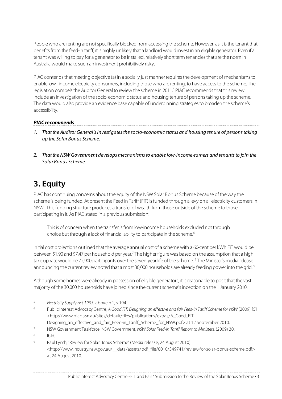People who are renting are not specifically blocked from accessing the scheme. However, as it is the tenant that benefits from the feed-in tariff, it is highly unlikely that a landlord would invest in an eligible generator. Even if a tenant was willing to pay for a generator to be installed, relatively short term tenancies that are the norm in Australia would make such an investment prohibitively risky.

PIAC contends that meeting objective (a) in a socially just manner requires the development of mechanisms to enable low–income electricity consumers, including those who are renting, to have access to the scheme. The legislation compels the Auditor General to review the scheme in 2011.<sup>5</sup> PIAC recommends that this review include an investigation of the socio-economic status and housing tenure of persons taking up the scheme. The data would also provide an evidence base capable of underpinning strategies to broaden the scheme's accessibility.

#### **PIAC recommends**

1. That the Auditor General's investigates the socio-economic status and housing tenure of persons taking up the Solar Bonus Scheme.

2. That the NSW Government develops mechanisms to enable low-income earners and tenants to join the Solar Bonus Scheme.

# **3. Equity**

PIAC has continuing concerns about the equity of the NSW Solar Bonus Scheme because of the way the scheme is being funded. At present the Feed in Tariff (FiT) is funded through a levy on all electricity customers in NSW. This funding structure produces a transfer of wealth from those outside of the scheme to those participating in it. As PIAC stated in a previous submission:

This is of concern when the transfer is from low-income households excluded not through choice but through a lack of financial ability to participate in the scheme.<sup>6</sup>

Initial cost projections outlined that the average annual cost of a scheme with a 60-cent per kWh FiT would be between \$1.90 and \$7.47 per household per year.<sup>7</sup> The higher figure was based on the assumption that a high take up rate would be 72,900 participants over the seven-year life of the scheme. <sup>8</sup> The Minister's media release announcing the current review noted that almost 30,000 households are already feeding power into the grid. 9

Although some homes were already in possession of eligible generators, it is reasonable to posit that the vast majority of the 30,000 households have joined since the current scheme's inception on the 1 January 2010.

<sup>8</sup> Ibid.

 $\overline{a}$ 

<sup>&</sup>lt;sup>5</sup> Electricity Supply Act 1995, above n 1, s 194.

<sup>&</sup>lt;sup>6</sup> Public Interest Advocacy Centre, A Good FiT: Designing an effective and fair Feed-in Tariff Scheme for NSW (2009) [5] <http://www.piac.asn.au/sites/default/files/publications/extras/A\_Good\_FiT-

Designing\_an\_effective\_and\_fair\_Feed-in\_Tariff\_Scheme\_for\_NSW.pdf> at 12 September 2010.

<sup>7</sup> NSW Government Taskforce, NSW Government, NSW Solar Feed-in Tariff Report to Ministers, (2009) 30.

<sup>9</sup> Paul Lynch, 'Review for Solar Bonus Scheme' (Media release, 24 August 2010) <http://www.industry.nsw.gov.au/\_\_data/assets/pdf\_file/0010/349741/review-for-solar-bonus-scheme.pdf> at 24 August 2010.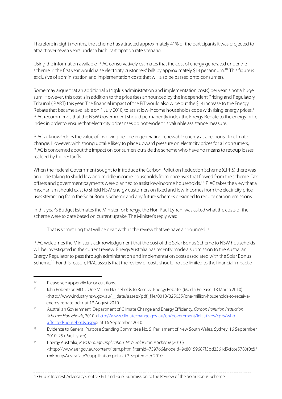Therefore in eight months, the scheme has attracted approximately 41% of the participants it was projected to attract over seven years under a high participation rate scenario.

Using the information available, PIAC conservatively estimates that the cost of energy generated under the scheme in the first year would raise electricity customers' bills by approximately \$14 per annum.<sup>10</sup> This figure is exclusive of administration and implementation costs that will also be passed onto consumers.

Some may argue that an additional \$14 (plus administration and implementation costs) per year is not a huge sum. However, this cost is in addition to the price rises announced by the Independent Pricing and Regulatory Tribunal (IPART) this year. The financial impact of the FiT would also wipe out the \$14 increase to the Energy Rebate that became available on 1 July 2010, to assist low-income households cope with rising energy prices.<sup>11</sup> PIAC recommends that the NSW Government should permanently index the Energy Rebate to the energy price index in order to ensure that electricity prices rises do not erode this valuable assistance measure.

PIAC acknowledges the value of involving people in generating renewable energy as a response to climate change. However, with strong uptake likely to place upward pressure on electricity prices for all consumers, PIAC is concerned about the impact on consumers outside the scheme who have no means to recoup losses realised by higher tariffs.

When the Federal Government sought to introduce the Carbon Pollution Reduction Scheme (CPRS) there was an undertaking to shield low and middle-income households from price rises that flowed from the scheme. Tax offsets and government payments were planned to assist low-income households.12 PIAC takes the view that a mechanism should exist to shield NSW energy customers on fixed and low-incomes from the electricity price rises stemming from the Solar Bonus Scheme and any future schemes designed to reduce carbon emissions.

In this year's Budget Estimates the Minister for Energy, the Hon Paul Lynch, was asked what the costs of the scheme were to date based on current uptake. The Minister's reply was:

That is something that will be dealt with in the review that we have announced. 13

PIAC welcomes the Minister's acknowledgement that the cost of the Solar Bonus Scheme to NSW households will be investigated in the current review. EnergyAustralia has recently made a submission to the Australian Energy Regulator to pass through administration and implementation costs associated with the Solar Bonus Scheme.<sup>14</sup> For this reason, PIAC asserts that the review of costs should not be limited to the financial impact of

 $\overline{a}$ 

<sup>10</sup> Please see appendix for calculations.

<sup>11</sup> John Robertson MLC, 'One Million Households to Receive Energy Rebate' (Media Release, 18 March 2010) <http://www.industry.nsw.gov.au/\_\_data/assets/pdf\_file/0018/325035/one-million-households-to-receiveenergy-rebate.pdf> at 13 August 2010.

<sup>12</sup> Australian Government, Department of Climate Change and Energy Efficiency, Carbon Pollution Reduction Scheme: Households, 2010 <http://www.climatechange.gov.au/en/government/initiatives/cprs/whoaffected/households.aspx> at 16 September 2010.

<sup>&</sup>lt;sup>13</sup> Evidence to General Purpose Standing Committee No. 5, Parliament of New South Wales, Sydney, 16 September 2010, 25 (Paul Lynch).

<sup>&</sup>lt;sup>14</sup> Energy Australia, *Pass through application: NSW Solar Bonus Scheme* (2010) <http://www.aer.gov.au/content/item.phtml?itemId=739766&nodeId=9c80159687f5bd2361d5cfcce5780f0c&f n=EnergyAustralia%20application.pdf> at 3 September 2010.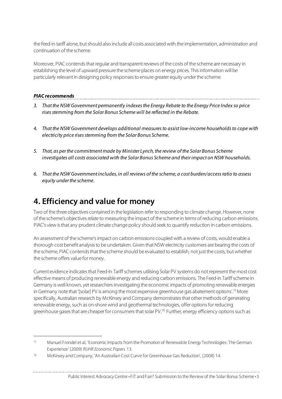the feed-in tariff alone, but should also include all costs associated with the implementation, administration and continuation of the scheme.

Moreover, PIAC contends that regular and transparent reviews of the costs of the scheme are necessary in establishing the level of upward pressure the scheme places on energy prices. This information will be particularly relevant in designing policy responses to ensure greater equity under the scheme.

#### **PIAC recommends**

 $\overline{a}$ 

- 3. That the NSW Government permanently indexes the Energy Rebate to the Energy Price Index so price rises stemming from the Solar Bonus Scheme will be reflected in the Rebate.
- 4. That the NSW Government develops additional measures to assist low-income households to cope with electricity price rises stemming from the Solar Bonus Scheme.
- 5. That, as per the commitment made by Minister Lynch, the review of the Solar Bonus Scheme investigates all costs associated with the Solar Bonus Scheme and their impact on NSW households.
- 6. That the NSW Government includes, in all reviews of the scheme, a cost burden/access ratio to assess equity under the scheme.

# **4. Efficiency and value for money**

Two of the three objectives contained in the legislation refer to responding to climate change. However, none of the scheme's objectives relate to measuring the impact of the scheme in terms of reducing carbon emissions. PIAC's view is that any prudent climate change policy should seek to quantify reduction in carbon emissions.

An assessment of the scheme's impact on carbon emissions coupled with a review of costs, would enable a thorough cost benefit analysis to be undertaken. Given that NSW electricity customers are bearing the costs of the scheme, PIAC contends that the scheme should be evaluated to establish, not just the costs, but whether the scheme offers value for money.

Current evidence indicates that Feed-In Tariff schemes utilising Solar PV systems do not represent the most cost effective means of producing renewable energy and reducing carbon emissions. The Feed-in Tariff scheme in Germany is well known, yet researchers investigating the economic impacts of promoting renewable energies in Germany note that '[solar] PV is among the most expensive greenhouse gas abatement options'.<sup>15</sup> More specifically, Australian research by McKinsey and Company demonstrates that other methods of generating renewable energy, such as on-shore wind and geothermal technologies, offer options for reducing greenhouse gases that are cheaper for consumers that solar PV.<sup>16</sup> Further, energy efficiency options such as

<sup>&</sup>lt;sup>15</sup> Manuel Frondel et al, 'Economic Impacts from the Promotion of Renewable Energy Technologies: The German Experience' (2009) RUHR Economic Papers. 13.

<sup>16</sup> McKinsey and Company, 'An Australian Cost Curve for Greenhouse Gas Reduction', (2008) 14.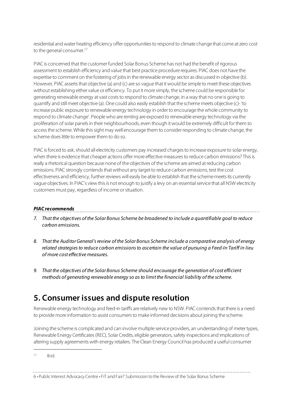residential and water heating efficiency offer opportunities to respond to climate change that come at zero cost to the general consumer.<sup>17</sup>

PIAC is concerned that the customer funded Solar Bonus Scheme has not had the benefit of rigorous assessment to establish efficiency and value that best practice procedure requires. PIAC does not have the expertise to comment on the fostering of jobs in the renewable energy sector as discussed in objective (b). However, PIAC asserts that objective (a) and (c) are so vague that it would be simple to meet these objectives without establishing either value or efficiency. To put it more simply, the scheme could be responsible for generating renewable energy at vast costs to respond to climate change, in a way that no one is going to quantify and still meet objective (a). One could also easily establish that the scheme meets objective (c)- 'to increase public exposure to renewable energy technology in order to encourage the whole community to respond to climate change'. People who are renting are exposed to renewable energy technology via the proliferation of solar panels in their neighbourhoods, even though it would be extremely difficult for them to access the scheme. While this sight may well encourage them to consider responding to climate change, the scheme does little to empower them to do so.

PIAC is forced to ask, should all electricity customers pay increased charges to increase exposure to solar energy, when there is evidence that cheaper actions offer more effective measures to reduce carbon emissions? This is really a rhetorical question because none of the objectives of the scheme are aimed at reducing carbon emissions. PIAC strongly contends that without any target to reduce carbon emissions, test the cost effectiveness and efficiency, further reviews will easily be able to establish that the scheme meets its currently vague objectives. In PIAC's view this is not enough to justify a levy on an essential service that all NSW electricity customers must pay, regardless of income or situation.

#### **PIAC recommends**

7. That the objectives of the Solar Bonus Scheme be broadened to include a quantifiable goal to reduce carbon emissions.

- 8. That the Auditor General's review of the Solar Bonus Scheme include a comparative analysis of energy related strategies to reduce carbon emissions to ascertain the value of pursuing a Feed-In Tariff in lieu of more cost effective measures.
- 9. That the objectives of the Solar Bonus Scheme should encourage the generation of cost efficient methods of generating renewable energy so as to limit the financial liability of the scheme.

## **5. Consumer issues and dispute resolution**

Renewable energy technology and feed-in tariffs are relatively new to NSW. PIAC contends that there is a need to provide more information to assist consumers to make informed decisions about joining the scheme.

Joining the scheme is complicated and can involve multiple service providers, an understanding of meter types, Renewable Energy Certificates (REC), Solar Credits, eligible generators, safety inspections and implications of altering supply agreements with energy retailers. The Clean Energy Council has produced a useful consumer

<u> 1989 - Johann John Stone, markin film yn y brenin y brenin y brenin y brenin y brenin y brenin y brenin y br</u>

 $17$  Ibid.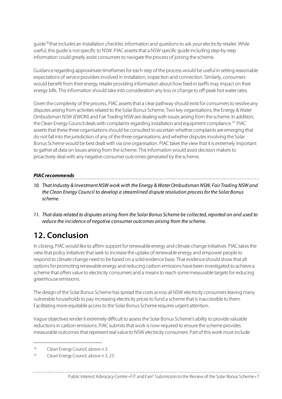guide<sup>18</sup> that includes an installation checklist, information and questions to ask your electricity retailer. While useful, this guide is not specific to NSW. PIAC asserts that a NSW specific guide including step-by-step information could greatly assist consumers to navigate the process of joining the scheme.

Guidance regarding approximate timeframes for each step of the process would be useful in setting reasonable expectations of service providers involved in installation, inspection and connection. Similarly, consumers would benefit from their energy retailer providing information about how feed-in tariffs may impact on their energy bills. This information should take into consideration any loss or change to off-peak hot water rates.

Given the complexity of the process, PIAC asserts that a clear pathway should exist for consumers to resolve any disputes arising from activities related to the Solar Bonus Scheme. Two key organisations, the Energy & Water Ombudsman NSW (EWON) and Fair Trading NSW are dealing with issues arising from the scheme. In addition, the Clean Energy Council deals with complaints regarding installation and equipment compliance.<sup>19</sup> PIAC asserts that these three organisations should be consulted to ascertain whether complaints are emerging that do not fall into the jurisdiction of any of the three organisations; and whether disputes involving the Solar Bonus Scheme would be best dealt with via one organisation. PIAC takes the view that it is extremely important to gather all data on issues arising from the scheme. This information would assist decision makers to proactively deal with any negative consumer outcomes generated by the scheme.

#### **PIAC recommends**

10. That Industry & Investment NSW work with the Energy & Water Ombudsman NSW, Fair Trading NSW and the Clean Energy Council to develop a streamlined dispute resolution process for the Solar Bonus scheme.

11. That data related to disputes arising from the Solar Bonus Scheme be collected, reported on and used to reduce the incidence of negative consumer outcomes arising from the scheme.

# **12. Conclusion**

In closing, PIAC would like to affirm support for renewable energy and climate change initiatives. PIAC takes the view that policy initiatives that seek to increase the uptake of renewable energy and empower people to respond to climate change need to be based on a solid evidence base. That evidence should show that all options for promoting renewable energy and reducing carbon emissions have been investigated to achieve a scheme that offers value to electricity consumers and a means to reach some measurable targets for reducing greenhouse emissions.

The design of the Solar Bonus Scheme has spread the costs across all NSW electricity consumers leaving many vulnerable households to pay increasing electricity prices to fund a scheme that is inaccessible to them. Facilitating more equitable access to the Solar Bonus Scheme requires urgent attention.

Vague objectives render it extremely difficult to assess the Solar Bonus Scheme's ability to provide valuable reductions in carbon emissions. PIAC submits that work is now required to ensure the scheme provides measurable outcomes that represent real value to NSW electricity consumers. Part of this work must include

 $\overline{a}$ 

<sup>18</sup> Clean Energy Council, above n 3.

<sup>19</sup> Clean Energy Council, above n 3, 23.